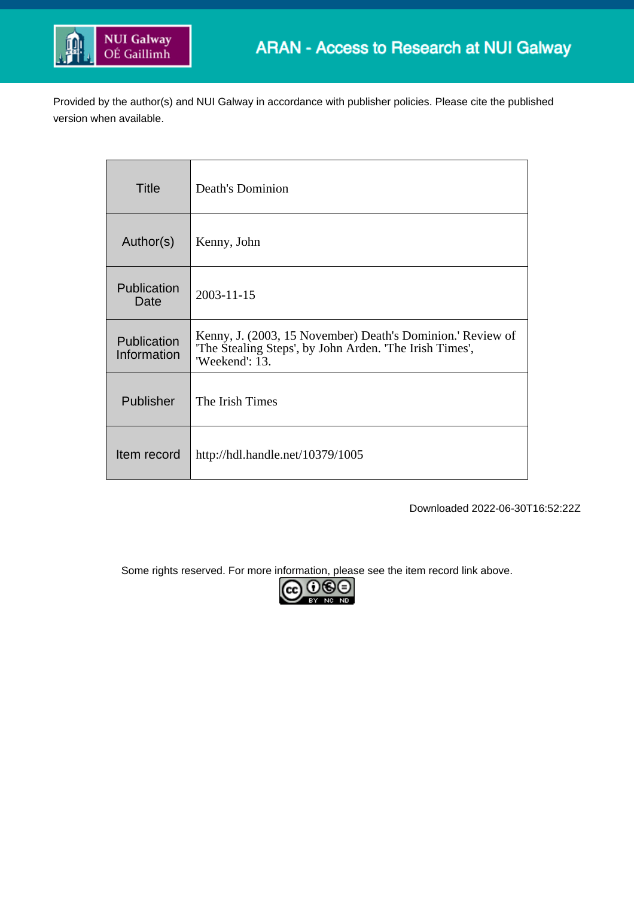

Provided by the author(s) and NUI Galway in accordance with publisher policies. Please cite the published version when available.

| <b>Title</b>               | <b>Death's Dominion</b>                                                                                                               |
|----------------------------|---------------------------------------------------------------------------------------------------------------------------------------|
| Author(s)                  | Kenny, John                                                                                                                           |
| Publication<br>Date        | 2003-11-15                                                                                                                            |
| Publication<br>Information | Kenny, J. (2003, 15 November) Death's Dominion.' Review of<br>The Stealing Steps', by John Arden. The Irish Times',<br>'Weekend': 13. |
| Publisher                  | The Irish Times                                                                                                                       |
| Item record                | http://hdl.handle.net/10379/1005                                                                                                      |

Downloaded 2022-06-30T16:52:22Z

Some rights reserved. For more information, please see the item record link above.